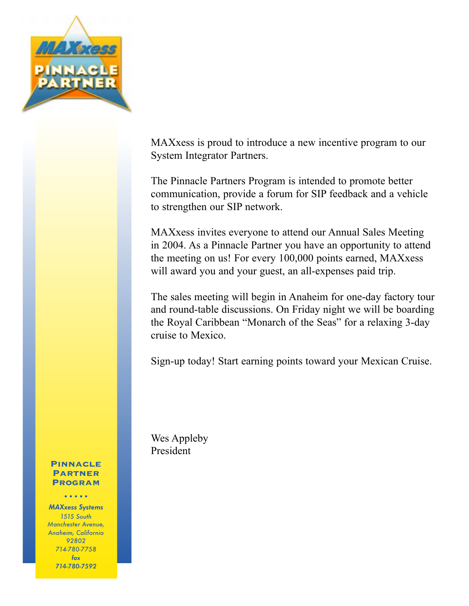

MAXxess is proud to introduce a new incentive program to our System Integrator Partners.

The Pinnacle Partners Program is intended to promote better communication, provide a forum for SIP feedback and a vehicle to strengthen our SIP network.

MAXxess invites everyone to attend our Annual Sales Meeting in 2004. As a Pinnacle Partner you have an opportunity to attend the meeting on us! For every 100,000 points earned, MAXxess will award you and your guest, an all-expenses paid trip.

The sales meeting will begin in Anaheim for one-day factory tour and round-table discussions. On Friday night we will be boarding the Royal Caribbean "Monarch of the Seas" for a relaxing 3-day cruise to Mexico.

Sign-up today! Start earning points toward your Mexican Cruise.

Wes Appleby President

#### Pinnacle Partner **PROGRAM**

•••••

MAXxess Systems 1515 South Manchester Avenue, Anaheim, California 92802 714-780-7758 fax 714-780-7592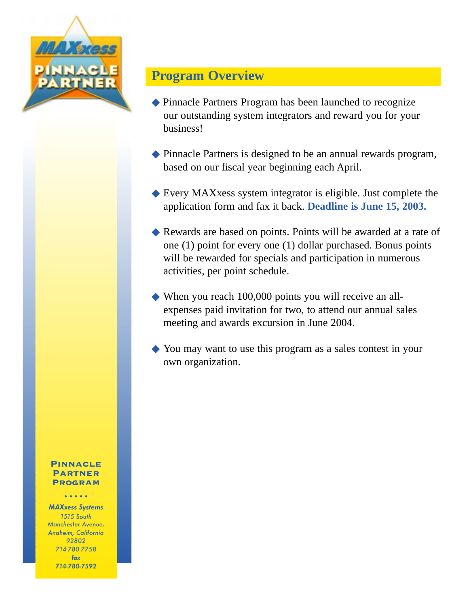

# **Program Overview**

- ◆ Pinnacle Partners Program has been launched to recognize our outstanding system integrators and reward you for your business!
- ◆ Pinnacle Partners is designed to be an annual rewards program, based on our fiscal year beginning each April.
- ◆ Every MAXxess system integrator is eligible. Just complete the application form and fax it back. **Deadline is June 15, 2003.**
- ◆ Rewards are based on points. Points will be awarded at a rate of one (1) point for every one (1) dollar purchased. Bonus points will be rewarded for specials and participation in numerous activities, per point schedule.
- ◆ When you reach 100,000 points you will receive an allexpenses paid invitation for two, to attend our annual sales meeting and awards excursion in June 2004.
- ◆ You may want to use this program as a sales contest in your own organization.

#### Pinnacle **PARTNER PROGRAM**

•••••

MAXxess Systems 1515 South Manchester Avenue, Anaheim, California 92802 714-780-7758 fax 714-780-7592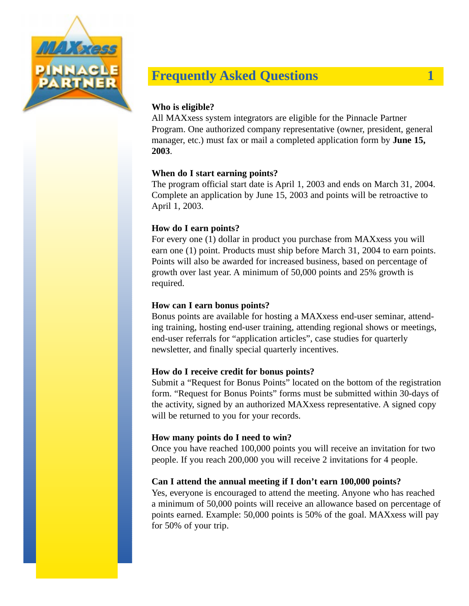

# **Frequently Asked Questions 1**

### **Who is eligible?**

All MAXxess system integrators are eligible for the Pinnacle Partner Program. One authorized company representative (owner, president, general manager, etc.) must fax or mail a completed application form by **June 15, 2003**.

#### **When do I start earning points?**

The program official start date is April 1, 2003 and ends on March 31, 2004. Complete an application by June 15, 2003 and points will be retroactive to April 1, 2003.

#### **How do I earn points?**

For every one (1) dollar in product you purchase from MAXxess you will earn one (1) point. Products must ship before March 31, 2004 to earn points. Points will also be awarded for increased business, based on percentage of growth over last year. A minimum of 50,000 points and 25% growth is required.

#### **How can I earn bonus points?**

Bonus points are available for hosting a MAXxess end-user seminar, attending training, hosting end-user training, attending regional shows or meetings, end-user referrals for "application articles", case studies for quarterly newsletter, and finally special quarterly incentives.

#### **How do I receive credit for bonus points?**

Submit a "Request for Bonus Points" located on the bottom of the registration form. "Request for Bonus Points" forms must be submitted within 30-days of the activity, signed by an authorized MAXxess representative. A signed copy will be returned to you for your records.

#### **How many points do I need to win?**

Once you have reached 100,000 points you will receive an invitation for two people. If you reach 200,000 you will receive 2 invitations for 4 people.

#### **Can I attend the annual meeting if I don't earn 100,000 points?**

Yes, everyone is encouraged to attend the meeting. Anyone who has reached a minimum of 50,000 points will receive an allowance based on percentage of points earned. Example: 50,000 points is 50% of the goal. MAXxess will pay for 50% of your trip.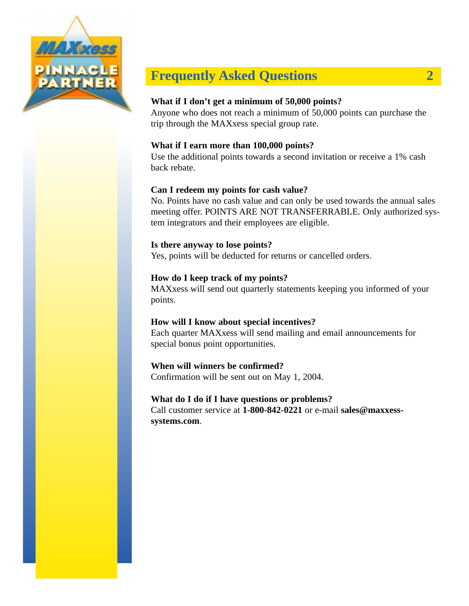

# **Frequently Asked Questions 2**

### **What if I don't get a minimum of 50,000 points?**

Anyone who does not reach a minimum of 50,000 points can purchase the trip through the MAXxess special group rate.

#### **What if I earn more than 100,000 points?**

Use the additional points towards a second invitation or receive a 1% cash back rebate.

### **Can I redeem my points for cash value?**

No. Points have no cash value and can only be used towards the annual sales meeting offer. POINTS ARE NOT TRANSFERRABLE. Only authorized system integrators and their employees are eligible.

### **Is there anyway to lose points?**

Yes, points will be deducted for returns or cancelled orders.

### **How do I keep track of my points?**

MAXxess will send out quarterly statements keeping you informed of your points.

### **How will I know about special incentives?**

Each quarter MAXxess will send mailing and email announcements for special bonus point opportunities.

### **When will winners be confirmed?**

Confirmation will be sent out on May 1, 2004.

### **What do I do if I have questions or problems?**

Call customer service at **1-800-842-0221** or e-mail **sales@maxxesssystems.com**.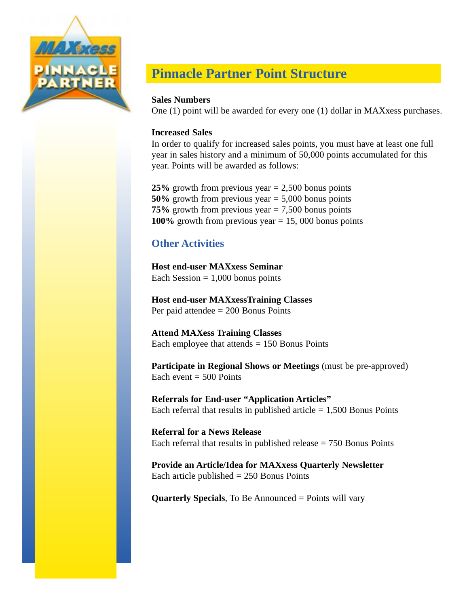

# **Pinnacle Partner Point Structure**

### **Sales Numbers**

One (1) point will be awarded for every one (1) dollar in MAXxess purchases.

### **Increased Sales**

In order to qualify for increased sales points, you must have at least one full year in sales history and a minimum of 50,000 points accumulated for this year. Points will be awarded as follows:

**25%** growth from previous year = 2,500 bonus points **50%** growth from previous year = 5,000 bonus points **75%** growth from previous year = 7,500 bonus points **100%** growth from previous year = 15, 000 bonus points

## **Other Activities**

**Host end-user MAXxess Seminar**  Each Session  $= 1,000$  bonus points

**Host end-user MAXxessTraining Classes** Per paid attendee = 200 Bonus Points

**Attend MAXess Training Classes** Each employee that attends  $= 150$  Bonus Points

**Participate in Regional Shows or Meetings** (must be pre-approved) Each event  $= 500$  Points

**Referrals for End-user "Application Articles"** Each referral that results in published article  $= 1,500$  Bonus Points

**Referral for a News Release** Each referral that results in published release  $= 750$  Bonus Points

**Provide an Article/Idea for MAXxess Quarterly Newsletter** Each article published  $= 250$  Bonus Points

**Quarterly Specials**, To Be Announced = Points will vary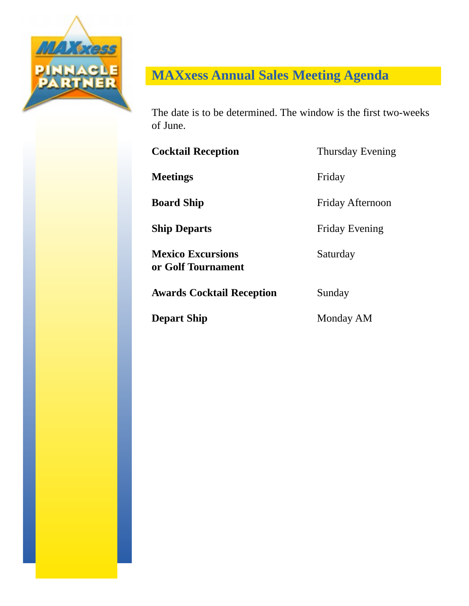

# **MAXxess Annual Sales Meeting Agenda**

The date is to be determined. The window is the first two-weeks of June.

**Cocktail Reception** Thursday Evening

**Meetings** Friday

**Board Ship** Friday Afternoon

**Ship Departs** Friday Evening

**Mexico Excursions** Saturday **or Golf Tournament**

**Awards Cocktail Reception Sunday** 

**Depart Ship** Monday AM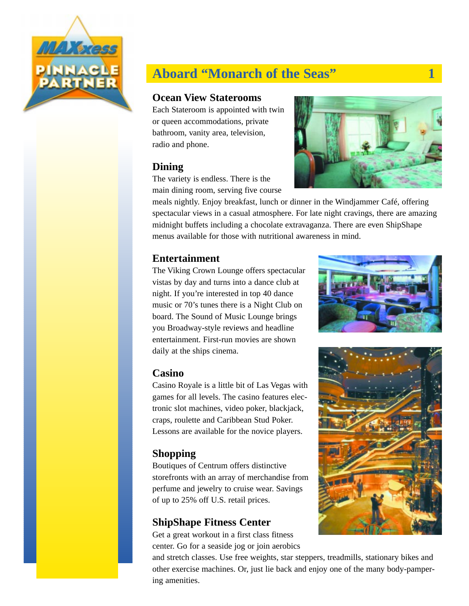

# **Aboard "Monarch of the Seas"** 1

### **Ocean View Staterooms**

Each Stateroom is appointed with twin or queen accommodations, private bathroom, vanity area, television, radio and phone.

## **Dining**

The variety is endless. There is the main dining room, serving five course



meals nightly. Enjoy breakfast, lunch or dinner in the Windjammer Café, offering spectacular views in a casual atmosphere. For late night cravings, there are amazing midnight buffets including a chocolate extravaganza. There are even ShipShape menus available for those with nutritional awareness in mind.

## **Entertainment**

The Viking Crown Lounge offers spectacular vistas by day and turns into a dance club at night. If you're interested in top 40 dance music or 70's tunes there is a Night Club on board. The Sound of Music Lounge brings you Broadway-style reviews and headline entertainment. First-run movies are shown daily at the ships cinema.

### **Casino**

Casino Royale is a little bit of Las Vegas with games for all levels. The casino features electronic slot machines, video poker, blackjack, craps, roulette and Caribbean Stud Poker. Lessons are available for the novice players.

## **Shopping**

Boutiques of Centrum offers distinctive storefronts with an array of merchandise from perfume and jewelry to cruise wear. Savings of up to 25% off U.S. retail prices.

## **ShipShape Fitness Center**

Get a great workout in a first class fitness center. Go for a seaside jog or join aerobics

and stretch classes. Use free weights, star steppers, treadmills, stationary bikes and other exercise machines. Or, just lie back and enjoy one of the many body-pampering amenities.